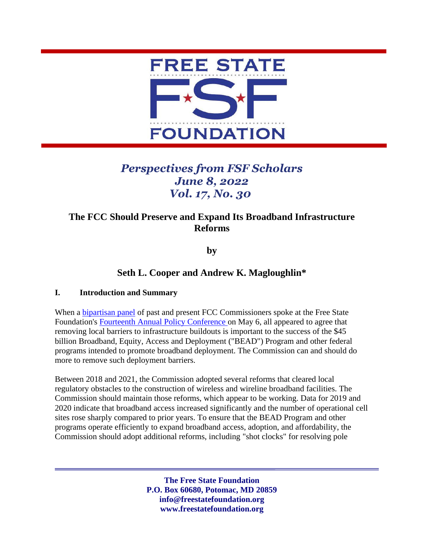

# *Perspectives from FSF Scholars June 8, 2022 Vol. 17, No. 30*

## **The FCC Should Preserve and Expand Its Broadband Infrastructure Reforms**

**by** 

### **Seth L. Cooper and Andrew K. Magloughlin\***

#### **I. Introduction and Summary**

When a [bipartisan panel](https://www.youtube.com/watch?v=8iYwG2gJ_qY&t=4097s) of past and present FCC Commissioners spoke at the Free State Foundation's [Fourteenth Annual Policy Conference](https://www.youtube.com/watch?v=8iYwG2gJ_qY) on May 6, all appeared to agree that removing local barriers to infrastructure buildouts is important to the success of the \$45 billion Broadband, Equity, Access and Deployment ("BEAD") Program and other federal programs intended to promote broadband deployment. The Commission can and should do more to remove such deployment barriers.

Between 2018 and 2021, the Commission adopted several reforms that cleared local regulatory obstacles to the construction of wireless and wireline broadband facilities. The Commission should maintain those reforms, which appear to be working. Data for 2019 and 2020 indicate that broadband access increased significantly and the number of operational cell sites rose sharply compared to prior years. To ensure that the BEAD Program and other programs operate efficiently to expand broadband access, adoption, and affordability, the Commission should adopt additional reforms, including "shot clocks" for resolving pole

> **The Free State Foundation P.O. Box 60680, Potomac, MD 20859 info@freestatefoundation.org www.freestatefoundation.org**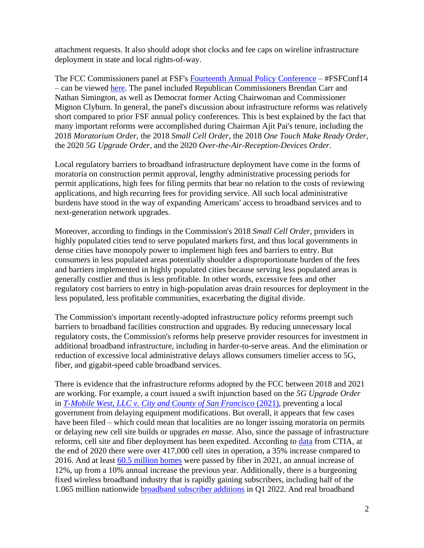attachment requests. It also should adopt shot clocks and fee caps on wireline infrastructure deployment in state and local rights-of-way.

The FCC Commissioners panel at FSF's [Fourteenth Annual Policy Conference](https://www.youtube.com/watch?v=8iYwG2gJ_qY) – #FSFConf14 – can be viewed [here.](https://www.youtube.com/watch?v=8iYwG2gJ_qY&t=4097s) The panel included Republican Commissioners Brendan Carr and Nathan Simington, as well as Democrat former Acting Chairwoman and Commissioner Mignon Clyburn. In general, the panel's discussion about infrastructure reforms was relatively short compared to prior FSF annual policy conferences. This is best explained by the fact that many important reforms were accomplished during Chairman Ajit Pai's tenure, including the 2018 *Moratorium Order*, the 2018 *Small Cell Order*, the 2018 *One Touch Make Ready Order*, the 2020 *5G Upgrade Order*, and the 2020 *Over-the-Air-Reception-Devices Order*.

Local regulatory barriers to broadband infrastructure deployment have come in the forms of moratoria on construction permit approval, lengthy administrative processing periods for permit applications, high fees for filing permits that bear no relation to the costs of reviewing applications, and high recurring fees for providing service. All such local administrative burdens have stood in the way of expanding Americans' access to broadband services and to next-generation network upgrades.

Moreover, according to findings in the Commission's 2018 *Small Cell Order*, providers in highly populated cities tend to serve populated markets first, and thus local governments in dense cities have monopoly power to implement high fees and barriers to entry. But consumers in less populated areas potentially shoulder a disproportionate burden of the fees and barriers implemented in highly populated cities because serving less populated areas is generally costlier and thus is less profitable. In other words, excessive fees and other regulatory cost barriers to entry in high-population areas drain resources for deployment in the less populated, less profitable communities, exacerbating the digital divide.

The Commission's important recently-adopted infrastructure policy reforms preempt such barriers to broadband facilities construction and upgrades. By reducing unnecessary local regulatory costs, the Commission's reforms help preserve provider resources for investment in additional broadband infrastructure, including in harder-to-serve areas. And the elimination or reduction of excessive local administrative delays allows consumers timelier access to 5G, fiber, and gigabit-speed cable broadband services.

There is evidence that the infrastructure reforms adopted by the FCC between 2018 and 2021 are working. For example, a court issued a swift injunction based on the *5G Upgrade Order* in *[T-Mobile West, LLC v. City and County of San Francisco](https://www.docketalarm.com/cases/California_Northern_District_Court/3--20-cv-08139/T-Mobile_West_LLC_v._The_City_and_County_of_San_Francisco_et_al/44/)* (2021), preventing a local government from delaying equipment modifications. But overall, it appears that few cases have been filed – which could mean that localities are no longer issuing moratoria on permits or delaying new cell site builds or upgrades *en masse*. Also, since the passage of infrastructure reforms, cell site and fiber deployment has been expedited. According to [data](https://api.ctia.org/wp-content/uploads/2021/07/2021-Annual-Survey-Highlights.pdf) from CTIA, at the end of 2020 there were over 417,000 cell sites in operation, a 35% increase compared to 2016. And at least [60.5 million homes](https://www.fiberbroadband.org/blog/fiber-broadband-enters-largest-investment-cycle-ever) were passed by fiber in 2021, an annual increase of 12%, up from a 10% annual increase the previous year. Additionally, there is a burgeoning fixed wireless broadband industry that is rapidly gaining subscribers, including half of the 1.065 million nationwide [broadband subscriber additions](https://www.leichtmanresearch.com/about-1065000-added-broadband-in-1q-2022/) in Q1 2022. And real broadband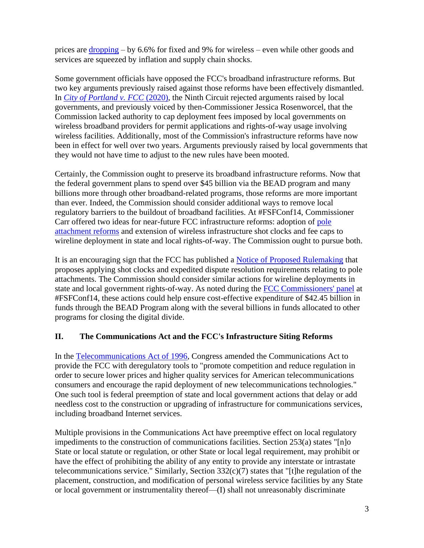prices are [dropping](http://freestatefoundation.blogspot.com/2022/05/dropping-consumer-broadband-prices.html) – by 6.6% for fixed and 9% for wireless – even while other goods and services are squeezed by inflation and supply chain shocks.

Some government officials have opposed the FCC's broadband infrastructure reforms. But two key arguments previously raised against those reforms have been effectively dismantled. In *[City of Portland v. FCC](https://cdn.ca9.uscourts.gov/datastore/opinions/2020/08/12/18-72689.pdf)* (2020), the Ninth Circuit rejected arguments raised by local governments, and previously voiced by then-Commissioner Jessica Rosenworcel, that the Commission lacked authority to cap deployment fees imposed by local governments on wireless broadband providers for permit applications and rights-of-way usage involving wireless facilities. Additionally, most of the Commission's infrastructure reforms have now been in effect for well over two years. Arguments previously raised by local governments that they would not have time to adjust to the new rules have been mooted.

Certainly, the Commission ought to preserve its broadband infrastructure reforms. Now that the federal government plans to spend over \$45 billion via the BEAD program and many billions more through other broadband-related programs, those reforms are more important than ever. Indeed, the Commission should consider additional ways to remove local regulatory barriers to the buildout of broadband facilities. At #FSFConf14, Commissioner Carr offered two ideas for near-future FCC infrastructure reforms: adoption of [pole](https://www.fcc.gov/document/resolving-pole-replacement-disputes)  [attachment reforms](https://www.fcc.gov/document/resolving-pole-replacement-disputes) and extension of wireless infrastructure shot clocks and fee caps to wireline deployment in state and local rights-of-way. The Commission ought to pursue both.

It is an encouraging sign that the FCC has published a [Notice of Proposed Rulemaking](https://www.fcc.gov/document/resolving-pole-replacement-disputes) that proposes applying shot clocks and expedited dispute resolution requirements relating to pole attachments. The Commission should consider similar actions for wireline deployments in state and local government rights-of-way. As noted during the [FCC Commissioners'](https://www.youtube.com/watch?v=8iYwG2gJ_qY&t=4097s) panel at #FSFConf14, these actions could help ensure cost-effective expenditure of \$42.45 billion in funds through the BEAD Program along with the several billions in funds allocated to other programs for closing the digital divide.

#### **II. The Communications Act and the FCC's Infrastructure Siting Reforms**

In the [Telecommunications Act of 1996,](https://transition.fcc.gov/Reports/tcom1996.pdf) Congress amended the Communications Act to provide the FCC with deregulatory tools to "promote competition and reduce regulation in order to secure lower prices and higher quality services for American telecommunications consumers and encourage the rapid deployment of new telecommunications technologies." One such tool is federal preemption of state and local government actions that delay or add needless cost to the construction or upgrading of infrastructure for communications services, including broadband Internet services.

Multiple provisions in the Communications Act have preemptive effect on local regulatory impediments to the construction of communications facilities. Section 253(a) states "[n]o State or local statute or regulation, or other State or local legal requirement, may prohibit or have the effect of prohibiting the ability of any entity to provide any interstate or intrastate telecommunications service." Similarly, Section 332(c)(7) states that "[t]he regulation of the placement, construction, and modification of personal wireless service facilities by any State or local government or instrumentality thereof—(I) shall not unreasonably discriminate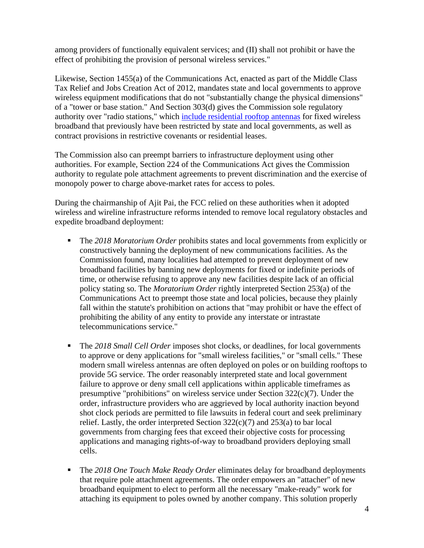among providers of functionally equivalent services; and (II) shall not prohibit or have the effect of prohibiting the provision of personal wireless services."

Likewise, Section 1455(a) of the Communications Act, enacted as part of the Middle Class Tax Relief and Jobs Creation Act of 2012, mandates state and local governments to approve wireless equipment modifications that do not "substantially change the physical dimensions" of a "tower or base station." And Section 303(d) gives the Commission sole regulatory authority over "radio stations," which [include residential rooftop antennas](https://www.cadc.uscourts.gov/internet/opinions.nsf/502564E6C5ABA89E852587E60054C6F9/$file/21-1075-1934754.pdf) for fixed wireless broadband that previously have been restricted by state and local governments, as well as contract provisions in restrictive covenants or residential leases.

The Commission also can preempt barriers to infrastructure deployment using other authorities. For example, Section 224 of the Communications Act gives the Commission authority to regulate pole attachment agreements to prevent discrimination and the exercise of monopoly power to charge above-market rates for access to poles.

During the chairmanship of Ajit Pai, the FCC relied on these authorities when it adopted wireless and wireline infrastructure reforms intended to remove local regulatory obstacles and expedite broadband deployment:

- The *2018 Moratorium Order* prohibits states and local governments from explicitly or constructively banning the deployment of new communications facilities. As the Commission found, many localities had attempted to prevent deployment of new broadband facilities by banning new deployments for fixed or indefinite periods of time, or otherwise refusing to approve any new facilities despite lack of an official policy stating so. The *Moratorium Order* rightly interpreted Section 253(a) of the Communications Act to preempt those state and local policies, because they plainly fall within the statute's prohibition on actions that "may prohibit or have the effect of prohibiting the ability of any entity to provide any interstate or intrastate telecommunications service."
- The 2018 Small Cell Order imposes shot clocks, or deadlines, for local governments to approve or deny applications for "small wireless facilities," or "small cells." These modern small wireless antennas are often deployed on poles or on building rooftops to provide 5G service. The order reasonably interpreted state and local government failure to approve or deny small cell applications within applicable timeframes as presumptive "prohibitions" on wireless service under Section  $322(c)(7)$ . Under the order, infrastructure providers who are aggrieved by local authority inaction beyond shot clock periods are permitted to file lawsuits in federal court and seek preliminary relief. Lastly, the order interpreted Section 322(c)(7) and 253(a) to bar local governments from charging fees that exceed their objective costs for processing applications and managing rights-of-way to broadband providers deploying small cells.
- The *2018 One Touch Make Ready Order* eliminates delay for broadband deployments that require pole attachment agreements. The order empowers an "attacher" of new broadband equipment to elect to perform all the necessary "make-ready" work for attaching its equipment to poles owned by another company. This solution properly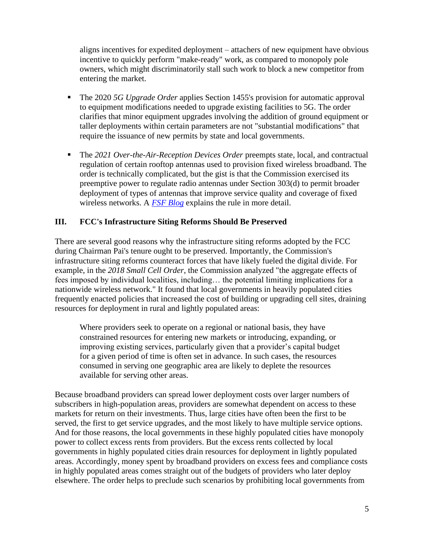aligns incentives for expedited deployment – attachers of new equipment have obvious incentive to quickly perform "make-ready" work, as compared to monopoly pole owners, which might discriminatorily stall such work to block a new competitor from entering the market.

- The 2020 *5G Upgrade Order* applies Section 1455's provision for automatic approval to equipment modifications needed to upgrade existing facilities to 5G. The order clarifies that minor equipment upgrades involving the addition of ground equipment or taller deployments within certain parameters are not "substantial modifications" that require the issuance of new permits by state and local governments.
- The *2021 Over-the-Air-Reception Devices Order* preempts state, local, and contractual regulation of certain rooftop antennas used to provision fixed wireless broadband. The order is technically complicated, but the gist is that the Commission exercised its preemptive power to regulate radio antennas under Section 303(d) to permit broader deployment of types of antennas that improve service quality and coverage of fixed wireless networks. A *[FSF Blog](http://freestatefoundation.blogspot.com/2022/02/fcc-rule-removing-barriers-to-fixed.html)* explains the rule in more detail.

#### **III. FCC's Infrastructure Siting Reforms Should Be Preserved**

There are several good reasons why the infrastructure siting reforms adopted by the FCC during Chairman Pai's tenure ought to be preserved. Importantly, the Commission's infrastructure siting reforms counteract forces that have likely fueled the digital divide. For example, in the *2018 Small Cell Order*, the Commission analyzed "the aggregate effects of fees imposed by individual localities, including… the potential limiting implications for a nationwide wireless network." It found that local governments in heavily populated cities frequently enacted policies that increased the cost of building or upgrading cell sites, draining resources for deployment in rural and lightly populated areas:

Where providers seek to operate on a regional or national basis, they have constrained resources for entering new markets or introducing, expanding, or improving existing services, particularly given that a provider's capital budget for a given period of time is often set in advance. In such cases, the resources consumed in serving one geographic area are likely to deplete the resources available for serving other areas.

Because broadband providers can spread lower deployment costs over larger numbers of subscribers in high-population areas, providers are somewhat dependent on access to these markets for return on their investments. Thus, large cities have often been the first to be served, the first to get service upgrades, and the most likely to have multiple service options. And for those reasons, the local governments in these highly populated cities have monopoly power to collect excess rents from providers. But the excess rents collected by local governments in highly populated cities drain resources for deployment in lightly populated areas. Accordingly, money spent by broadband providers on excess fees and compliance costs in highly populated areas comes straight out of the budgets of providers who later deploy elsewhere. The order helps to preclude such scenarios by prohibiting local governments from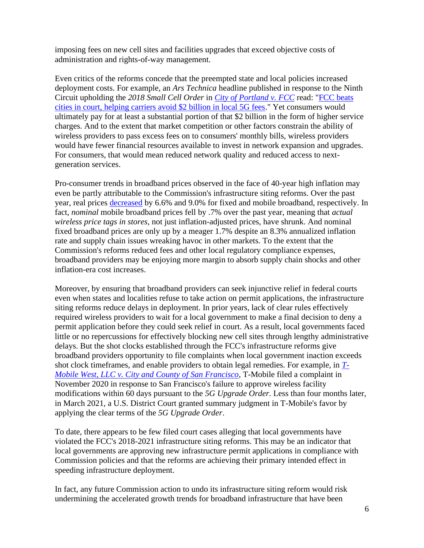imposing fees on new cell sites and facilities upgrades that exceed objective costs of administration and rights-of-way management.

Even critics of the reforms concede that the preempted state and local policies increased deployment costs. For example, an *Ars Technica* headline published in response to the Ninth Circuit upholding the *2018 Small Cell Order* in *[City of Portland v. FCC](https://cdn.ca9.uscourts.gov/datastore/opinions/2020/08/12/18-72689.pdf)* read: ["FCC beats](https://arstechnica.com/tech-policy/2020/08/fcc-beats-cities-in-court-helping-carriers-avoid-2-billion-in-local-5g-fees/)  [cities in court, helping carriers avoid \\$2 billion in local 5G fees.](https://arstechnica.com/tech-policy/2020/08/fcc-beats-cities-in-court-helping-carriers-avoid-2-billion-in-local-5g-fees/)" Yet consumers would ultimately pay for at least a substantial portion of that \$2 billion in the form of higher service charges. And to the extent that market competition or other factors constrain the ability of wireless providers to pass excess fees on to consumers' monthly bills, wireless providers would have fewer financial resources available to invest in network expansion and upgrades. For consumers, that would mean reduced network quality and reduced access to nextgeneration services.

Pro-consumer trends in broadband prices observed in the face of 40-year high inflation may even be partly attributable to the Commission's infrastructure siting reforms. Over the past year, real prices [decreased](http://freestatefoundation.blogspot.com/2022/05/dropping-consumer-broadband-prices.html) by 6.6% and 9.0% for fixed and mobile broadband, respectively. In fact, *nominal* mobile broadband prices fell by .7% over the past year, meaning that *actual wireless price tags in stores*, not just inflation-adjusted prices, have shrunk. And nominal fixed broadband prices are only up by a meager 1.7% despite an 8.3% annualized inflation rate and supply chain issues wreaking havoc in other markets. To the extent that the Commission's reforms reduced fees and other local regulatory compliance expenses, broadband providers may be enjoying more margin to absorb supply chain shocks and other inflation-era cost increases.

Moreover, by ensuring that broadband providers can seek injunctive relief in federal courts even when states and localities refuse to take action on permit applications, the infrastructure siting reforms reduce delays in deployment. In prior years, lack of clear rules effectively required wireless providers to wait for a local government to make a final decision to deny a permit application before they could seek relief in court. As a result, local governments faced little or no repercussions for effectively blocking new cell sites through lengthy administrative delays. But the shot clocks established through the FCC's infrastructure reforms give broadband providers opportunity to file complaints when local government inaction exceeds shot clock timeframes, and enable providers to obtain legal remedies. For example, in *[T-](https://www.docketalarm.com/cases/California_Northern_District_Court/3--20-cv-08139/T-Mobile_West_LLC_v._The_City_and_County_of_San_Francisco_et_al/44/)[Mobile West, LLC v. City and County of San Francisco](https://www.docketalarm.com/cases/California_Northern_District_Court/3--20-cv-08139/T-Mobile_West_LLC_v._The_City_and_County_of_San_Francisco_et_al/44/)*, T-Mobile filed a complaint in November 2020 in response to San Francisco's failure to approve wireless facility modifications within 60 days pursuant to the *5G Upgrade Order*. Less than four months later, in March 2021, a U.S. District Court granted summary judgment in T-Mobile's favor by applying the clear terms of the *5G Upgrade Order*.

To date, there appears to be few filed court cases alleging that local governments have violated the FCC's 2018-2021 infrastructure siting reforms. This may be an indicator that local governments are approving new infrastructure permit applications in compliance with Commission policies and that the reforms are achieving their primary intended effect in speeding infrastructure deployment.

In fact, any future Commission action to undo its infrastructure siting reform would risk undermining the accelerated growth trends for broadband infrastructure that have been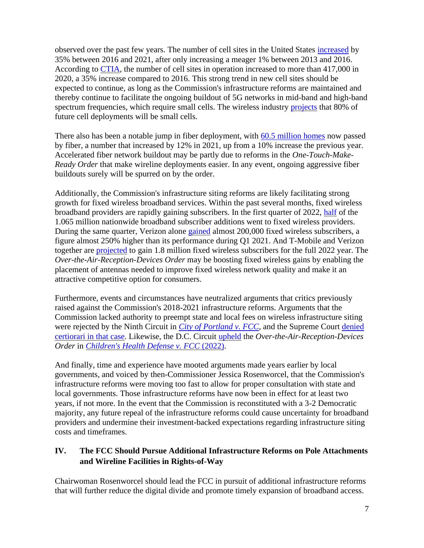observed over the past few years. The number of cell sites in the United States [increased](https://api.ctia.org/wp-content/uploads/2021/07/2021-Annual-Survey-Highlights.pdf) by 35% between 2016 and 2021, after only increasing a meager 1% between 2013 and 2016. According to [CTIA,](https://api.ctia.org/wp-content/uploads/2021/07/2021-Annual-Survey-Highlights.pdf) the number of cell sites in operation increased to more than 417,000 in 2020, a 35% increase compared to 2016. This strong trend in new cell sites should be expected to continue, as long as the Commission's infrastructure reforms are maintained and thereby continue to facilitate the ongoing buildout of 5G networks in mid-band and high-band spectrum frequencies, which require small cells. The wireless industry [projects](https://www.ctia.org/the-wireless-industry/infographics-library?topic=22) that 80% of future cell deployments will be small cells.

There also has been a notable jump in fiber deployment, with [60.5 million homes](https://www.fiberbroadband.org/blog/fiber-broadband-enters-largest-investment-cycle-ever) now passed by fiber, a number that increased by 12% in 2021, up from a 10% increase the previous year. Accelerated fiber network buildout may be partly due to reforms in the *One-Touch-Make-Ready Order* that make wireline deployments easier. In any event, ongoing aggressive fiber buildouts surely will be spurred on by the order.

Additionally, the Commission's infrastructure siting reforms are likely facilitating strong growth for fixed wireless broadband services. Within the past several months, fixed wireless broadband providers are rapidly gaining subscribers. In the first quarter of 2022, [half](https://www.leichtmanresearch.com/about-1065000-added-broadband-in-1q-2022/) of the 1.065 million nationwide broadband subscriber additions went to fixed wireless providers. During the same quarter, Verizon alone [gained](https://freestatefoundation.org/wp-content/uploads/2022/04/Fixed-Wireless-Access-Is-Boosting-Rural-Broadband-and-Consumer-Choice-042522.pdf) almost 200,000 fixed wireless subscribers, a figure almost 250% higher than its performance during Q1 2021. And T-Mobile and Verizon together are [projected](https://freestatefoundation.org/wp-content/uploads/2022/04/Fixed-Wireless-Access-Is-Boosting-Rural-Broadband-and-Consumer-Choice-042522.pdf) to gain 1.8 million fixed wireless subscribers for the full 2022 year. The *Over-the-Air-Reception-Devices Order* may be boosting fixed wireless gains by enabling the placement of antennas needed to improve fixed wireless network quality and make it an attractive competitive option for consumers.

Furthermore, events and circumstances have neutralized arguments that critics previously raised against the Commission's 2018-2021 infrastructure reforms. Arguments that the Commission lacked authority to preempt state and local fees on wireless infrastructure siting were rejected by the Ninth Circuit in *[City of Portland v. FCC](https://cdn.ca9.uscourts.gov/datastore/opinions/2020/08/12/18-72689.pdf)*, and the Supreme Court denied [certiorari](http://freestatefoundation.blogspot.com/2021/06/supreme-court-order-ends-legal.html) in that case. Likewise, the D.C. Circuit [upheld](http://freestatefoundation.blogspot.com/2022/02/fcc-rule-removing-barriers-to-fixed.html) the *Over-the-Air-Reception-Devices Order* in *[Children's Health Defense v. FCC](https://www.cadc.uscourts.gov/internet/opinions.nsf/502564E6C5ABA89E852587E60054C6F9/$file/21-1075-1934754.pdf)* (2022).

And finally, time and experience have mooted arguments made years earlier by local governments, and voiced by then-Commissioner Jessica Rosenworcel, that the Commission's infrastructure reforms were moving too fast to allow for proper consultation with state and local governments. Those infrastructure reforms have now been in effect for at least two years, if not more. In the event that the Commission is reconstituted with a 3-2 Democratic majority, any future repeal of the infrastructure reforms could cause uncertainty for broadband providers and undermine their investment-backed expectations regarding infrastructure siting costs and timeframes.

### **IV. The FCC Should Pursue Additional Infrastructure Reforms on Pole Attachments and Wireline Facilities in Rights-of-Way**

Chairwoman Rosenworcel should lead the FCC in pursuit of additional infrastructure reforms that will further reduce the digital divide and promote timely expansion of broadband access.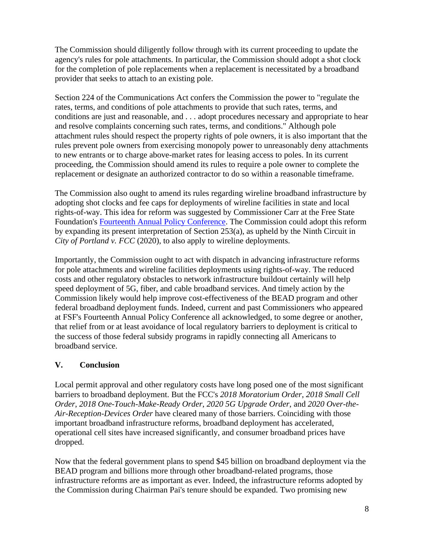The Commission should diligently follow through with its current proceeding to update the agency's rules for pole attachments. In particular, the Commission should adopt a shot clock for the completion of pole replacements when a replacement is necessitated by a broadband provider that seeks to attach to an existing pole.

Section 224 of the Communications Act confers the Commission the power to "regulate the rates, terms, and conditions of pole attachments to provide that such rates, terms, and conditions are just and reasonable, and . . . adopt procedures necessary and appropriate to hear and resolve complaints concerning such rates, terms, and conditions." Although pole attachment rules should respect the property rights of pole owners, it is also important that the rules prevent pole owners from exercising monopoly power to unreasonably deny attachments to new entrants or to charge above-market rates for leasing access to poles. In its current proceeding, the Commission should amend its rules to require a pole owner to complete the replacement or designate an authorized contractor to do so within a reasonable timeframe.

The Commission also ought to amend its rules regarding wireline broadband infrastructure by adopting shot clocks and fee caps for deployments of wireline facilities in state and local rights-of-way. This idea for reform was suggested by Commissioner Carr at the Free State Foundation's [Fourteenth Annual Policy Conference.](https://www.youtube.com/watch?v=8iYwG2gJ_qY) The Commission could adopt this reform by expanding its present interpretation of Section 253(a), as upheld by the Ninth Circuit in *City of Portland v. FCC* (2020), to also apply to wireline deployments.

Importantly, the Commission ought to act with dispatch in advancing infrastructure reforms for pole attachments and wireline facilities deployments using rights-of-way. The reduced costs and other regulatory obstacles to network infrastructure buildout certainly will help speed deployment of 5G, fiber, and cable broadband services. And timely action by the Commission likely would help improve cost-effectiveness of the BEAD program and other federal broadband deployment funds. Indeed, current and past Commissioners who appeared at FSF's Fourteenth Annual Policy Conference all acknowledged, to some degree or another, that relief from or at least avoidance of local regulatory barriers to deployment is critical to the success of those federal subsidy programs in rapidly connecting all Americans to broadband service.

#### **V. Conclusion**

Local permit approval and other regulatory costs have long posed one of the most significant barriers to broadband deployment. But the FCC's *2018 Moratorium Order*, *2018 Small Cell Order*, *2018 One-Touch-Make-Ready Order*, *2020 5G Upgrade Order*, and *2020 Over-the-Air-Reception-Devices Order* have cleared many of those barriers. Coinciding with those important broadband infrastructure reforms, broadband deployment has accelerated, operational cell sites have increased significantly, and consumer broadband prices have dropped.

Now that the federal government plans to spend \$45 billion on broadband deployment via the BEAD program and billions more through other broadband-related programs, those infrastructure reforms are as important as ever. Indeed, the infrastructure reforms adopted by the Commission during Chairman Pai's tenure should be expanded. Two promising new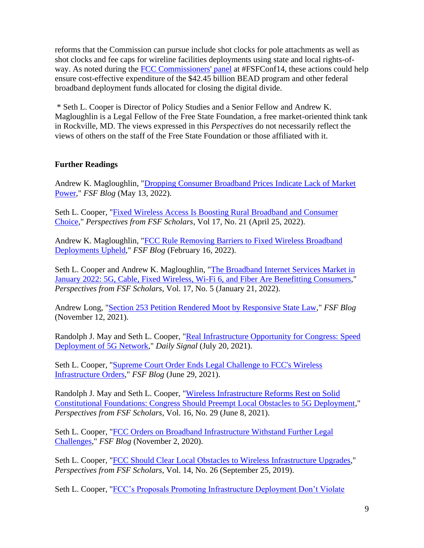reforms that the Commission can pursue include shot clocks for pole attachments as well as shot clocks and fee caps for wireline facilities deployments using state and local rights-ofway. As noted during the [FCC Commissioners'](https://www.youtube.com/watch?v=8iYwG2gJ_qY&t=4097s) panel at #FSFConf14, these actions could help ensure cost-effective expenditure of the \$42.45 billion BEAD program and other federal broadband deployment funds allocated for closing the digital divide.

\* Seth L. Cooper is Director of Policy Studies and a Senior Fellow and Andrew K. Magloughlin is a Legal Fellow of the Free State Foundation, a free market-oriented think tank in Rockville, MD. The views expressed in this *Perspectives* do not necessarily reflect the views of others on the staff of the Free State Foundation or those affiliated with it.

#### **Further Readings**

Andrew K. Magloughlin, ["Dropping Consumer Broadband Prices Indicate Lack of Market](http://freestatefoundation.blogspot.com/2022/05/dropping-consumer-broadband-prices.html)  [Power,](http://freestatefoundation.blogspot.com/2022/05/dropping-consumer-broadband-prices.html)" *FSF Blog* (May 13, 2022).

Seth L. Cooper, ["Fixed Wireless Access Is Boosting Rural Broadband and Consumer](https://freestatefoundation.org/wp-content/uploads/2022/04/Fixed-Wireless-Access-Is-Boosting-Rural-Broadband-and-Consumer-Choice-042522.pdf)  [Choice,](https://freestatefoundation.org/wp-content/uploads/2022/04/Fixed-Wireless-Access-Is-Boosting-Rural-Broadband-and-Consumer-Choice-042522.pdf)" *Perspectives from FSF Scholars*, Vol 17, No. 21 (April 25, 2022).

Andrew K. Magloughlin, ["FCC Rule Removing Barriers to Fixed Wireless Broadband](http://freestatefoundation.blogspot.com/2022/02/fcc-rule-removing-barriers-to-fixed.html)  [Deployments Upheld,](http://freestatefoundation.blogspot.com/2022/02/fcc-rule-removing-barriers-to-fixed.html)" *FSF Blog* (February 16, 2022).

Seth L. Cooper and Andrew K. Magloughlin, "The Broadband Internet Services Market in [January 2022: 5G, Cable, Fixed Wireless, Wi-Fi 6, and Fiber Are Benefitting Consumers,](https://freestatefoundation.org/wp-content/uploads/2022/01/The-Broadband-Internet-Services-Market-in-January-2022-5G-Cable-Fixed-Wireless-Wi-Fi-6-and-Fiber-Are-Benefitting-Consumers-012122.pdf)" *Perspectives from FSF Scholars*, Vol. 17, No. 5 (January 21, 2022).

Andrew Long, ["Section 253 Petition Rendered Moot by Responsive State Law,](https://freestatefoundation.blogspot.com/2021/11/section-253-petition-rendered-moot-by.html)" *FSF Blog* (November 12, 2021).

Randolph J. May and Seth L. Cooper, ["Real Infrastructure Opportunity for Congress: Speed](https://www.dailysignal.com/2021/07/20/real-infrastructure-opportunity-for-congress-speed-deployment-of-5g-network/)  [Deployment of 5G Network,](https://www.dailysignal.com/2021/07/20/real-infrastructure-opportunity-for-congress-speed-deployment-of-5g-network/)" *Daily Signal* (July 20, 2021).

Seth L. Cooper, ["Supreme Court Order Ends Legal Challenge to FCC's Wireless](http://freestatefoundation.blogspot.com/2021/06/supreme-court-order-ends-legal.html)  [Infrastructure Orders,](http://freestatefoundation.blogspot.com/2021/06/supreme-court-order-ends-legal.html)" *FSF Blog* (June 29, 2021).

Randolph J. May and Seth L. Cooper, ["Wireless Infrastructure Reforms Rest on Solid](https://freestatefoundation.org/wp-content/uploads/2021/06/Wireless-Infrastructure-Reforms-Rest-on-Solid-Constitutional-Foundations-060821.pdf)  [Constitutional Foundations: Congress Should Preempt Local Obstacles to 5G Deployment,](https://freestatefoundation.org/wp-content/uploads/2021/06/Wireless-Infrastructure-Reforms-Rest-on-Solid-Constitutional-Foundations-060821.pdf)" *Perspectives from FSF Scholars*, Vol. 16, No. 29 (June 8, 2021).

Seth L. Cooper, ["FCC Orders on Broadband Infrastructure Withstand Further Legal](http://freestatefoundation.blogspot.com/2020/11/fcc-orders-on-broadband-infrastructure.html)  [Challenges,](http://freestatefoundation.blogspot.com/2020/11/fcc-orders-on-broadband-infrastructure.html)" *FSF Blog* (November 2, 2020).

Seth L. Cooper, ["FCC Should Clear Local Obstacles to Wireless Infrastructure Upgrades,](https://freestatefoundation.org/wp-content/uploads/2019/09/FCC-Should-Clear-Local-Obstacles-to-Wireless-Infrastructure-Upgrades-092519.pdf)" *Perspectives from FSF Scholars*, Vol. 14, No. 26 (September 25, 2019).

Seth L. Cooper, ["FCC's Proposals Promoting Infrastructure Deployment Don't Violate](https://freestatefoundation.org/wp-content/uploads/2019/05/FCC%E2%80%99s-Proposals-Promoting-Infrastructure-Deployment-Don%E2%80%99t-Violate-071718.pdf)